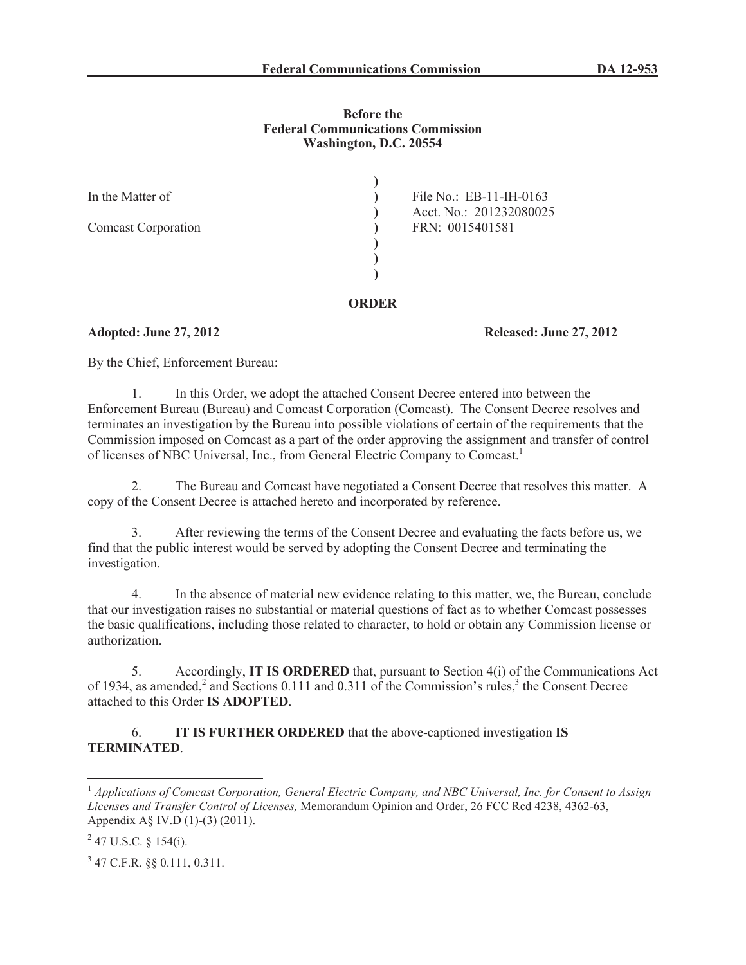#### **Before the Federal Communications Commission Washington, D.C. 20554**

| In the Matter of<br><b>Comcast Corporation</b> | File No.: EB-11-IH-0163<br>Acct. No.: 201232080025<br>FRN: 0015401581 |
|------------------------------------------------|-----------------------------------------------------------------------|
|                                                |                                                                       |

# **ORDER**

## **Adopted: June 27, 2012 Released: June 27, 2012**

By the Chief, Enforcement Bureau:

1. In this Order, we adopt the attached Consent Decree entered into between the Enforcement Bureau (Bureau) and Comcast Corporation (Comcast). The Consent Decree resolves and terminates an investigation by the Bureau into possible violations of certain of the requirements that the Commission imposed on Comcast as a part of the order approving the assignment and transfer of control of licenses of NBC Universal, Inc., from General Electric Company to Comcast.<sup>1</sup>

2. The Bureau and Comcast have negotiated a Consent Decree that resolves this matter. A copy of the Consent Decree is attached hereto and incorporated by reference.

3. After reviewing the terms of the Consent Decree and evaluating the facts before us, we find that the public interest would be served by adopting the Consent Decree and terminating the investigation.

4. In the absence of material new evidence relating to this matter, we, the Bureau, conclude that our investigation raises no substantial or material questions of fact as to whether Comcast possesses the basic qualifications, including those related to character, to hold or obtain any Commission license or authorization.

5. Accordingly, **IT IS ORDERED** that, pursuant to Section 4(i) of the Communications Act of 1934, as amended,<sup>2</sup> and Sections 0.111 and 0.311 of the Commission's rules,<sup>3</sup> the Consent Decree attached to this Order **IS ADOPTED**.

# 6. **IT IS FURTHER ORDERED** that the above-captioned investigation **IS TERMINATED**.

<sup>1</sup> *Applications of Comcast Corporation, General Electric Company, and NBC Universal, Inc. for Consent to Assign Licenses and Transfer Control of Licenses,* Memorandum Opinion and Order, 26 FCC Rcd 4238, 4362-63, Appendix A§ IV.D (1)-(3) (2011).

 $2$  47 U.S.C. § 154(i).

<sup>3</sup> 47 C.F.R. §§ 0.111, 0.311.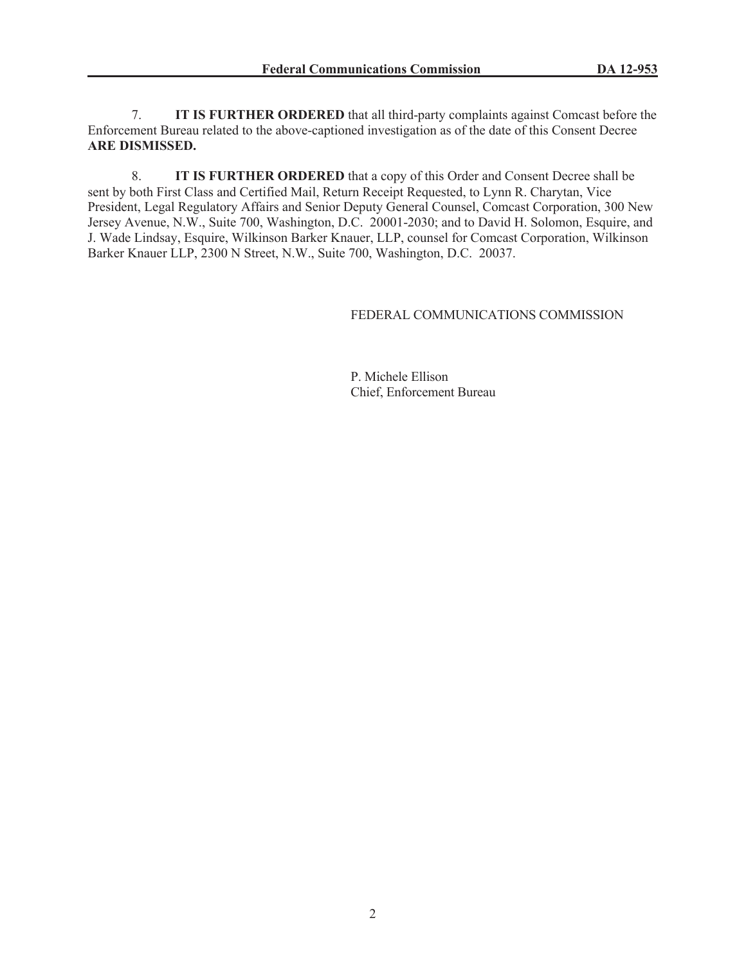7. **IT IS FURTHER ORDERED** that all third-party complaints against Comcast before the Enforcement Bureau related to the above-captioned investigation as of the date of this Consent Decree **ARE DISMISSED.**

8. **IT IS FURTHER ORDERED** that a copy of this Order and Consent Decree shall be sent by both First Class and Certified Mail, Return Receipt Requested, to Lynn R. Charytan, Vice President, Legal Regulatory Affairs and Senior Deputy General Counsel, Comcast Corporation, 300 New Jersey Avenue, N.W., Suite 700, Washington, D.C. 20001-2030; and to David H. Solomon, Esquire, and J. Wade Lindsay, Esquire, Wilkinson Barker Knauer, LLP, counsel for Comcast Corporation, Wilkinson Barker Knauer LLP, 2300 N Street, N.W., Suite 700, Washington, D.C. 20037.

## FEDERAL COMMUNICATIONS COMMISSION

P. Michele Ellison Chief, Enforcement Bureau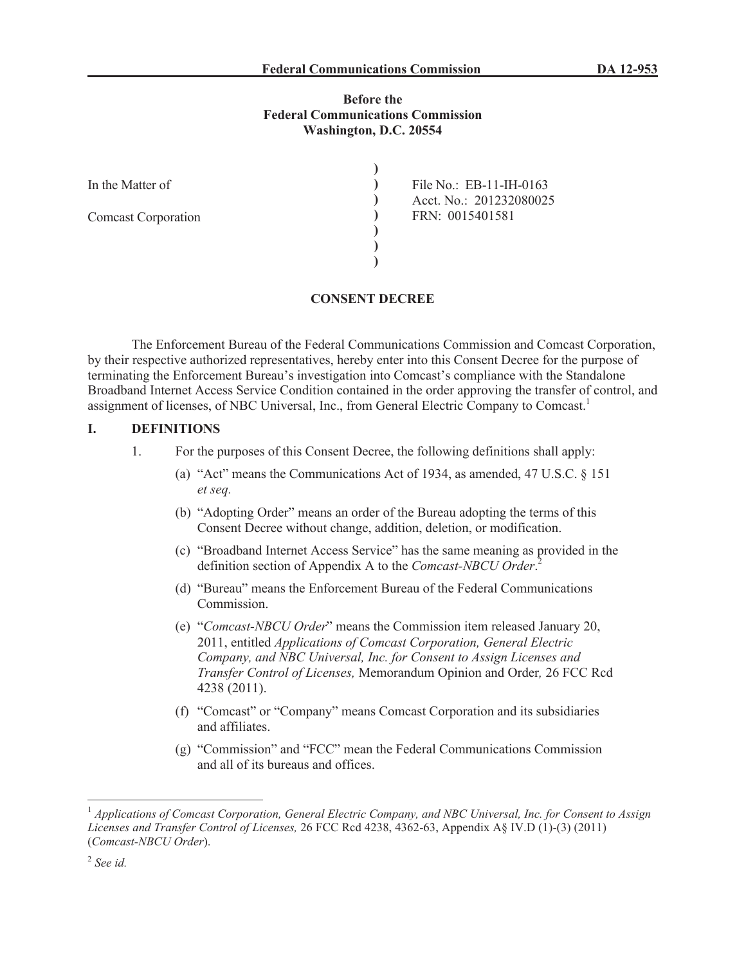## **Before the Federal Communications Commission Washington, D.C. 20554**

| In the Matter of           | File No.: EB-11-IH-0163 |
|----------------------------|-------------------------|
|                            | Acct. No.: 201232080025 |
| <b>Comcast Corporation</b> | FRN: 0015401581         |
|                            |                         |
|                            |                         |
|                            |                         |

#### **CONSENT DECREE**

The Enforcement Bureau of the Federal Communications Commission and Comcast Corporation, by their respective authorized representatives, hereby enter into this Consent Decree for the purpose of terminating the Enforcement Bureau's investigation into Comcast's compliance with the Standalone Broadband Internet Access Service Condition contained in the order approving the transfer of control, and assignment of licenses, of NBC Universal, Inc., from General Electric Company to Comcast.<sup>1</sup>

## **I. DEFINITIONS**

- 1. For the purposes of this Consent Decree, the following definitions shall apply:
	- (a) "Act" means the Communications Act of 1934, as amended, 47 U.S.C. § 151 *et seq.*
	- (b) "Adopting Order" means an order of the Bureau adopting the terms of this Consent Decree without change, addition, deletion, or modification.
	- (c) "Broadband Internet Access Service" has the same meaning as provided in the definition section of Appendix A to the *Comcast-NBCU Order*. 2
	- (d) "Bureau" means the Enforcement Bureau of the Federal Communications Commission.
	- (e) "*Comcast-NBCU Order*" means the Commission item released January 20, 2011, entitled *Applications of Comcast Corporation, General Electric Company, and NBC Universal, Inc. for Consent to Assign Licenses and Transfer Control of Licenses,* Memorandum Opinion and Order*,* 26 FCC Rcd 4238 (2011).
	- (f) "Comcast" or "Company" means Comcast Corporation and its subsidiaries and affiliates.
	- (g) "Commission" and "FCC" mean the Federal Communications Commission and all of its bureaus and offices.

<sup>1</sup> *Applications of Comcast Corporation, General Electric Company, and NBC Universal, Inc. for Consent to Assign Licenses and Transfer Control of Licenses,* 26 FCC Rcd 4238, 4362-63, Appendix A§ IV.D (1)-(3) (2011) (*Comcast-NBCU Order*).

<sup>2</sup> *See id.*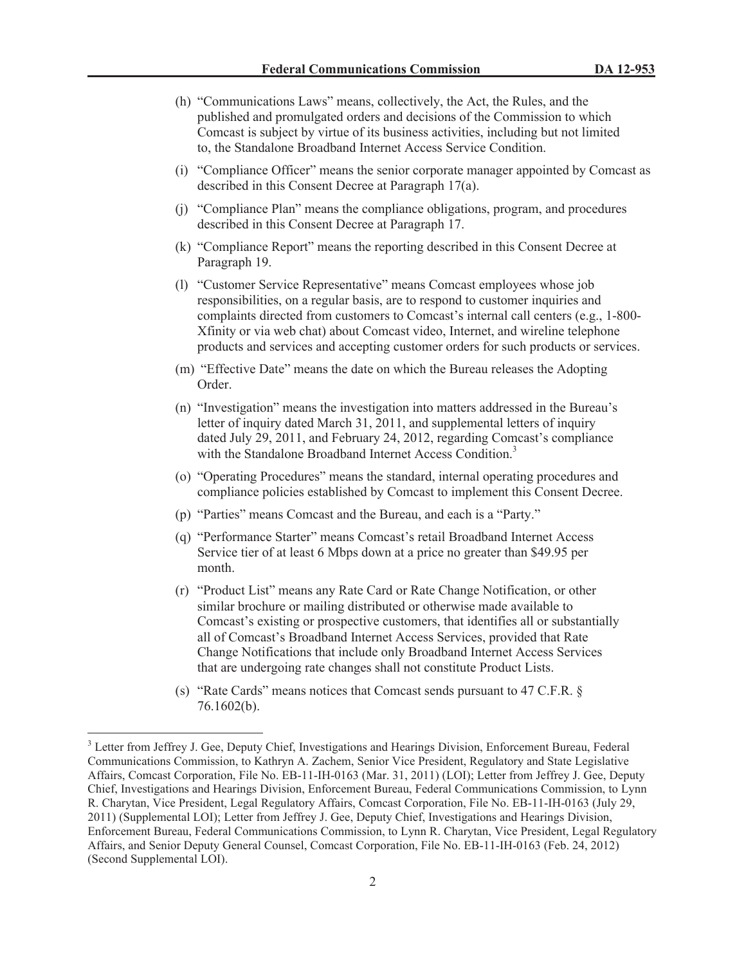- (h) "Communications Laws" means, collectively, the Act, the Rules, and the published and promulgated orders and decisions of the Commission to which Comcast is subject by virtue of its business activities, including but not limited to, the Standalone Broadband Internet Access Service Condition.
- (i) "Compliance Officer" means the senior corporate manager appointed by Comcast as described in this Consent Decree at Paragraph 17(a).
- (j) "Compliance Plan" means the compliance obligations, program, and procedures described in this Consent Decree at Paragraph 17.
- (k) "Compliance Report" means the reporting described in this Consent Decree at Paragraph 19.
- (l) "Customer Service Representative" means Comcast employees whose job responsibilities, on a regular basis, are to respond to customer inquiries and complaints directed from customers to Comcast's internal call centers (e.g., 1-800- Xfinity or via web chat) about Comcast video, Internet, and wireline telephone products and services and accepting customer orders for such products or services.
- (m) "Effective Date" means the date on which the Bureau releases the Adopting Order.
- (n) "Investigation" means the investigation into matters addressed in the Bureau's letter of inquiry dated March 31, 2011, and supplemental letters of inquiry dated July 29, 2011, and February 24, 2012, regarding Comcast's compliance with the Standalone Broadband Internet Access Condition.<sup>3</sup>
- (o) "Operating Procedures" means the standard, internal operating procedures and compliance policies established by Comcast to implement this Consent Decree.
- (p) "Parties" means Comcast and the Bureau, and each is a "Party."
- (q) "Performance Starter" means Comcast's retail Broadband Internet Access Service tier of at least 6 Mbps down at a price no greater than \$49.95 per month.
- (r) "Product List" means any Rate Card or Rate Change Notification, or other similar brochure or mailing distributed or otherwise made available to Comcast's existing or prospective customers, that identifies all or substantially all of Comcast's Broadband Internet Access Services, provided that Rate Change Notifications that include only Broadband Internet Access Services that are undergoing rate changes shall not constitute Product Lists.
- (s) "Rate Cards" means notices that Comcast sends pursuant to 47 C.F.R. § 76.1602(b).

<sup>3</sup> Letter from Jeffrey J. Gee, Deputy Chief, Investigations and Hearings Division, Enforcement Bureau, Federal Communications Commission, to Kathryn A. Zachem, Senior Vice President, Regulatory and State Legislative Affairs, Comcast Corporation, File No. EB-11-IH-0163 (Mar. 31, 2011) (LOI); Letter from Jeffrey J. Gee, Deputy Chief, Investigations and Hearings Division, Enforcement Bureau, Federal Communications Commission, to Lynn R. Charytan, Vice President, Legal Regulatory Affairs, Comcast Corporation, File No. EB-11-IH-0163 (July 29, 2011) (Supplemental LOI); Letter from Jeffrey J. Gee, Deputy Chief, Investigations and Hearings Division, Enforcement Bureau, Federal Communications Commission, to Lynn R. Charytan, Vice President, Legal Regulatory Affairs, and Senior Deputy General Counsel, Comcast Corporation, File No. EB-11-IH-0163 (Feb. 24, 2012) (Second Supplemental LOI).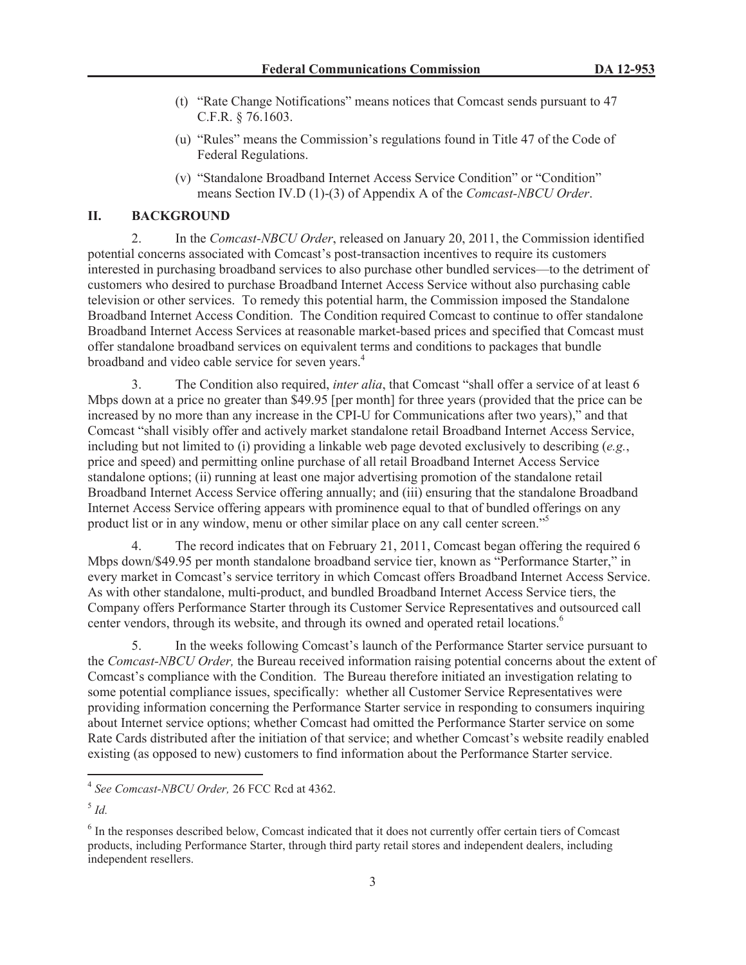- (t) "Rate Change Notifications" means notices that Comcast sends pursuant to 47 C.F.R. § 76.1603.
- (u) "Rules" means the Commission's regulations found in Title 47 of the Code of Federal Regulations.
- (v) "Standalone Broadband Internet Access Service Condition" or "Condition" means Section IV.D (1)-(3) of Appendix A of the *Comcast-NBCU Order*.

## **II. BACKGROUND**

2. In the *Comcast-NBCU Order*, released on January 20, 2011, the Commission identified potential concerns associated with Comcast's post-transaction incentives to require its customers interested in purchasing broadband services to also purchase other bundled services—to the detriment of customers who desired to purchase Broadband Internet Access Service without also purchasing cable television or other services. To remedy this potential harm, the Commission imposed the Standalone Broadband Internet Access Condition. The Condition required Comcast to continue to offer standalone Broadband Internet Access Services at reasonable market-based prices and specified that Comcast must offer standalone broadband services on equivalent terms and conditions to packages that bundle broadband and video cable service for seven years.<sup>4</sup>

3. The Condition also required, *inter alia*, that Comcast "shall offer a service of at least 6 Mbps down at a price no greater than \$49.95 [per month] for three years (provided that the price can be increased by no more than any increase in the CPI-U for Communications after two years)," and that Comcast "shall visibly offer and actively market standalone retail Broadband Internet Access Service, including but not limited to (i) providing a linkable web page devoted exclusively to describing (*e.g.*, price and speed) and permitting online purchase of all retail Broadband Internet Access Service standalone options; (ii) running at least one major advertising promotion of the standalone retail Broadband Internet Access Service offering annually; and (iii) ensuring that the standalone Broadband Internet Access Service offering appears with prominence equal to that of bundled offerings on any product list or in any window, menu or other similar place on any call center screen."<sup>5</sup>

4. The record indicates that on February 21, 2011, Comcast began offering the required 6 Mbps down/\$49.95 per month standalone broadband service tier, known as "Performance Starter," in every market in Comcast's service territory in which Comcast offers Broadband Internet Access Service. As with other standalone, multi-product, and bundled Broadband Internet Access Service tiers, the Company offers Performance Starter through its Customer Service Representatives and outsourced call center vendors, through its website, and through its owned and operated retail locations.<sup>6</sup>

5. In the weeks following Comcast's launch of the Performance Starter service pursuant to the *Comcast-NBCU Order,* the Bureau received information raising potential concerns about the extent of Comcast's compliance with the Condition. The Bureau therefore initiated an investigation relating to some potential compliance issues, specifically: whether all Customer Service Representatives were providing information concerning the Performance Starter service in responding to consumers inquiring about Internet service options; whether Comcast had omitted the Performance Starter service on some Rate Cards distributed after the initiation of that service; and whether Comcast's website readily enabled existing (as opposed to new) customers to find information about the Performance Starter service.

<sup>4</sup> *See Comcast-NBCU Order,* 26 FCC Rcd at 4362.

<sup>5</sup> *Id.*

<sup>&</sup>lt;sup>6</sup> In the responses described below, Comcast indicated that it does not currently offer certain tiers of Comcast products, including Performance Starter, through third party retail stores and independent dealers, including independent resellers.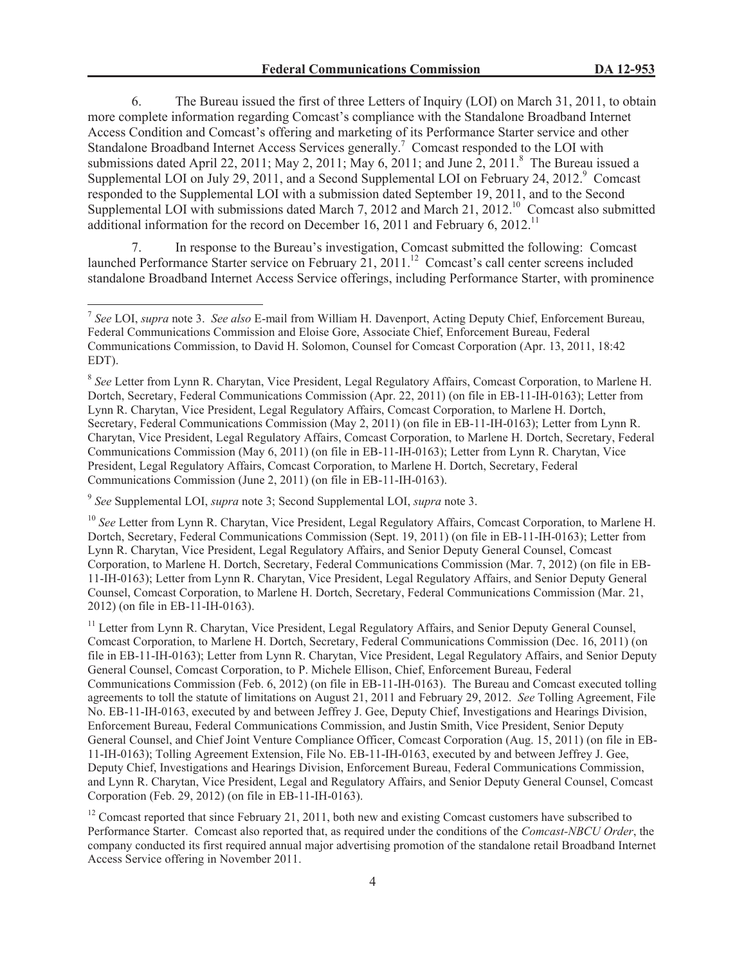6. The Bureau issued the first of three Letters of Inquiry (LOI) on March 31, 2011, to obtain more complete information regarding Comcast's compliance with the Standalone Broadband Internet Access Condition and Comcast's offering and marketing of its Performance Starter service and other Standalone Broadband Internet Access Services generally.<sup>7</sup> Comcast responded to the LOI with submissions dated April 22, 2011; May 2, 2011; May 6, 2011; and June 2, 2011.<sup>8</sup> The Bureau issued a Supplemental LOI on July 29, 2011, and a Second Supplemental LOI on February 24,  $2012$ .<sup>9</sup> Comcast responded to the Supplemental LOI with a submission dated September 19, 2011, and to the Second Supplemental LOI with submissions dated March 7, 2012 and March 21, 2012.<sup>10</sup> Comcast also submitted additional information for the record on December 16, 2011 and February 6, 2012.<sup>11</sup>

7. In response to the Bureau's investigation, Comcast submitted the following: Comcast launched Performance Starter service on February 21, 2011.<sup>12</sup> Comcast's call center screens included standalone Broadband Internet Access Service offerings, including Performance Starter, with prominence

9 *See* Supplemental LOI, *supra* note 3; Second Supplemental LOI, *supra* note 3.

<sup>7</sup> *See* LOI, *supra* note 3. *See also* E-mail from William H. Davenport, Acting Deputy Chief, Enforcement Bureau, Federal Communications Commission and Eloise Gore, Associate Chief, Enforcement Bureau, Federal Communications Commission, to David H. Solomon, Counsel for Comcast Corporation (Apr. 13, 2011, 18:42 EDT).

<sup>8</sup> *See* Letter from Lynn R. Charytan, Vice President, Legal Regulatory Affairs, Comcast Corporation, to Marlene H. Dortch, Secretary, Federal Communications Commission (Apr. 22, 2011) (on file in EB-11-IH-0163); Letter from Lynn R. Charytan, Vice President, Legal Regulatory Affairs, Comcast Corporation, to Marlene H. Dortch, Secretary, Federal Communications Commission (May 2, 2011) (on file in EB-11-IH-0163); Letter from Lynn R. Charytan, Vice President, Legal Regulatory Affairs, Comcast Corporation, to Marlene H. Dortch, Secretary, Federal Communications Commission (May 6, 2011) (on file in EB-11-IH-0163); Letter from Lynn R. Charytan, Vice President, Legal Regulatory Affairs, Comcast Corporation, to Marlene H. Dortch, Secretary, Federal Communications Commission (June 2, 2011) (on file in EB-11-IH-0163).

<sup>&</sup>lt;sup>10</sup> See Letter from Lynn R. Charytan, Vice President, Legal Regulatory Affairs, Comcast Corporation, to Marlene H. Dortch, Secretary, Federal Communications Commission (Sept. 19, 2011) (on file in EB-11-IH-0163); Letter from Lynn R. Charytan, Vice President, Legal Regulatory Affairs, and Senior Deputy General Counsel, Comcast Corporation, to Marlene H. Dortch, Secretary, Federal Communications Commission (Mar. 7, 2012) (on file in EB-11-IH-0163); Letter from Lynn R. Charytan, Vice President, Legal Regulatory Affairs, and Senior Deputy General Counsel, Comcast Corporation, to Marlene H. Dortch, Secretary, Federal Communications Commission (Mar. 21, 2012) (on file in EB-11-IH-0163).

<sup>&</sup>lt;sup>11</sup> Letter from Lynn R. Charytan, Vice President, Legal Regulatory Affairs, and Senior Deputy General Counsel, Comcast Corporation, to Marlene H. Dortch, Secretary, Federal Communications Commission (Dec. 16, 2011) (on file in EB-11-IH-0163); Letter from Lynn R. Charytan, Vice President, Legal Regulatory Affairs, and Senior Deputy General Counsel, Comcast Corporation, to P. Michele Ellison, Chief, Enforcement Bureau, Federal Communications Commission (Feb. 6, 2012) (on file in EB-11-IH-0163). The Bureau and Comcast executed tolling agreements to toll the statute of limitations on August 21, 2011 and February 29, 2012. *See* Tolling Agreement, File No. EB-11-IH-0163, executed by and between Jeffrey J. Gee, Deputy Chief, Investigations and Hearings Division, Enforcement Bureau, Federal Communications Commission, and Justin Smith, Vice President, Senior Deputy General Counsel, and Chief Joint Venture Compliance Officer, Comcast Corporation (Aug. 15, 2011) (on file in EB-11-IH-0163); Tolling Agreement Extension, File No. EB-11-IH-0163, executed by and between Jeffrey J. Gee, Deputy Chief, Investigations and Hearings Division, Enforcement Bureau, Federal Communications Commission, and Lynn R. Charytan, Vice President, Legal and Regulatory Affairs, and Senior Deputy General Counsel, Comcast Corporation (Feb. 29, 2012) (on file in EB-11-IH-0163).

<sup>&</sup>lt;sup>12</sup> Comcast reported that since February 21, 2011, both new and existing Comcast customers have subscribed to Performance Starter. Comcast also reported that, as required under the conditions of the *Comcast-NBCU Order*, the company conducted its first required annual major advertising promotion of the standalone retail Broadband Internet Access Service offering in November 2011.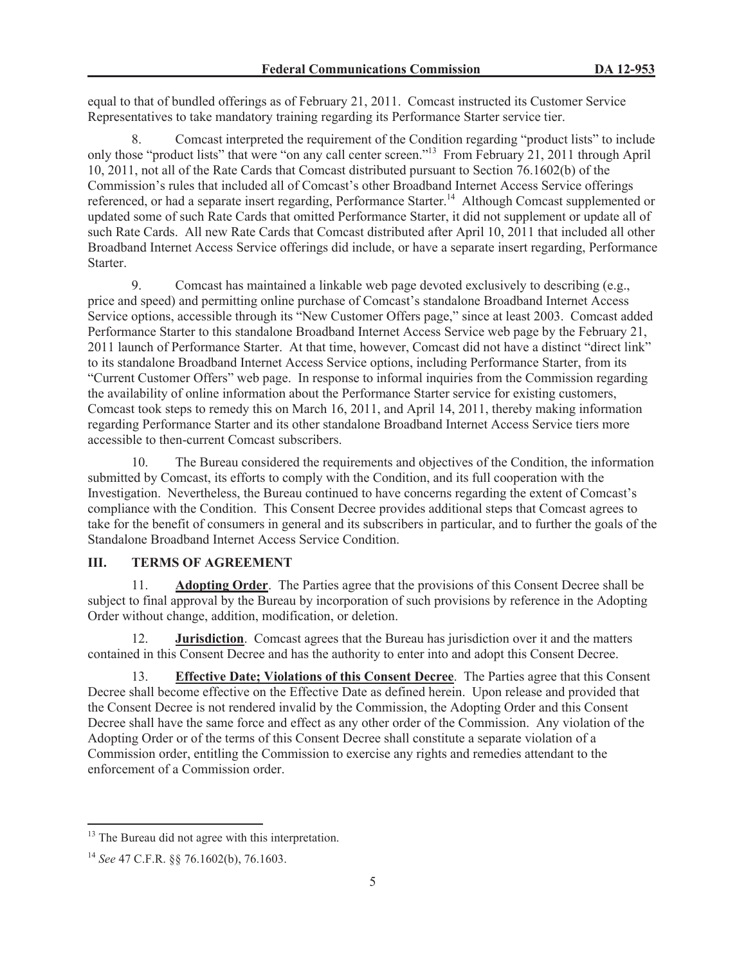equal to that of bundled offerings as of February 21, 2011. Comcast instructed its Customer Service Representatives to take mandatory training regarding its Performance Starter service tier.

8. Comcast interpreted the requirement of the Condition regarding "product lists" to include only those "product lists" that were "on any call center screen."<sup>13</sup> From February 21, 2011 through April 10, 2011, not all of the Rate Cards that Comcast distributed pursuant to Section 76.1602(b) of the Commission's rules that included all of Comcast's other Broadband Internet Access Service offerings referenced, or had a separate insert regarding, Performance Starter.<sup>14</sup> Although Comcast supplemented or updated some of such Rate Cards that omitted Performance Starter, it did not supplement or update all of such Rate Cards. All new Rate Cards that Comcast distributed after April 10, 2011 that included all other Broadband Internet Access Service offerings did include, or have a separate insert regarding, Performance Starter.

9. Comcast has maintained a linkable web page devoted exclusively to describing (e.g., price and speed) and permitting online purchase of Comcast's standalone Broadband Internet Access Service options, accessible through its "New Customer Offers page," since at least 2003. Comcast added Performance Starter to this standalone Broadband Internet Access Service web page by the February 21, 2011 launch of Performance Starter. At that time, however, Comcast did not have a distinct "direct link" to its standalone Broadband Internet Access Service options, including Performance Starter, from its "Current Customer Offers" web page. In response to informal inquiries from the Commission regarding the availability of online information about the Performance Starter service for existing customers, Comcast took steps to remedy this on March 16, 2011, and April 14, 2011, thereby making information regarding Performance Starter and its other standalone Broadband Internet Access Service tiers more accessible to then-current Comcast subscribers.

10. The Bureau considered the requirements and objectives of the Condition, the information submitted by Comcast, its efforts to comply with the Condition, and its full cooperation with the Investigation. Nevertheless, the Bureau continued to have concerns regarding the extent of Comcast's compliance with the Condition. This Consent Decree provides additional steps that Comcast agrees to take for the benefit of consumers in general and its subscribers in particular, and to further the goals of the Standalone Broadband Internet Access Service Condition.

# **III. TERMS OF AGREEMENT**

11. **Adopting Order**. The Parties agree that the provisions of this Consent Decree shall be subject to final approval by the Bureau by incorporation of such provisions by reference in the Adopting Order without change, addition, modification, or deletion.

12. **Jurisdiction**. Comcast agrees that the Bureau has jurisdiction over it and the matters contained in this Consent Decree and has the authority to enter into and adopt this Consent Decree.

13. **Effective Date; Violations of this Consent Decree**. The Parties agree that this Consent Decree shall become effective on the Effective Date as defined herein. Upon release and provided that the Consent Decree is not rendered invalid by the Commission, the Adopting Order and this Consent Decree shall have the same force and effect as any other order of the Commission. Any violation of the Adopting Order or of the terms of this Consent Decree shall constitute a separate violation of a Commission order, entitling the Commission to exercise any rights and remedies attendant to the enforcement of a Commission order.

<sup>&</sup>lt;sup>13</sup> The Bureau did not agree with this interpretation.

<sup>14</sup> *See* 47 C.F.R. §§ 76.1602(b), 76.1603.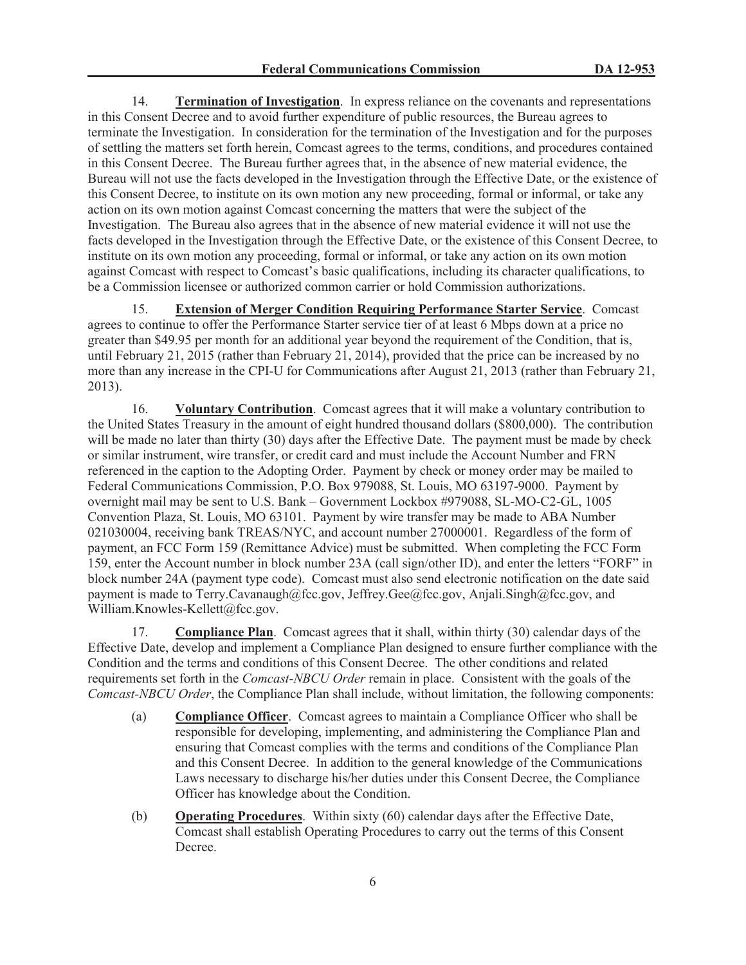14. **Termination of Investigation**. In express reliance on the covenants and representations in this Consent Decree and to avoid further expenditure of public resources, the Bureau agrees to terminate the Investigation. In consideration for the termination of the Investigation and for the purposes of settling the matters set forth herein, Comcast agrees to the terms, conditions, and procedures contained in this Consent Decree. The Bureau further agrees that, in the absence of new material evidence, the Bureau will not use the facts developed in the Investigation through the Effective Date, or the existence of this Consent Decree, to institute on its own motion any new proceeding, formal or informal, or take any action on its own motion against Comcast concerning the matters that were the subject of the Investigation. The Bureau also agrees that in the absence of new material evidence it will not use the facts developed in the Investigation through the Effective Date, or the existence of this Consent Decree, to institute on its own motion any proceeding, formal or informal, or take any action on its own motion against Comcast with respect to Comcast's basic qualifications, including its character qualifications, to be a Commission licensee or authorized common carrier or hold Commission authorizations.

15. **Extension of Merger Condition Requiring Performance Starter Service**. Comcast agrees to continue to offer the Performance Starter service tier of at least 6 Mbps down at a price no greater than \$49.95 per month for an additional year beyond the requirement of the Condition, that is, until February 21, 2015 (rather than February 21, 2014), provided that the price can be increased by no more than any increase in the CPI-U for Communications after August 21, 2013 (rather than February 21, 2013).

16. **Voluntary Contribution**. Comcast agrees that it will make a voluntary contribution to the United States Treasury in the amount of eight hundred thousand dollars (\$800,000). The contribution will be made no later than thirty (30) days after the Effective Date. The payment must be made by check or similar instrument, wire transfer, or credit card and must include the Account Number and FRN referenced in the caption to the Adopting Order. Payment by check or money order may be mailed to Federal Communications Commission, P.O. Box 979088, St. Louis, MO 63197-9000. Payment by overnight mail may be sent to U.S. Bank – Government Lockbox #979088, SL-MO-C2-GL, 1005 Convention Plaza, St. Louis, MO 63101. Payment by wire transfer may be made to ABA Number 021030004, receiving bank TREAS/NYC, and account number 27000001. Regardless of the form of payment, an FCC Form 159 (Remittance Advice) must be submitted. When completing the FCC Form 159, enter the Account number in block number 23A (call sign/other ID), and enter the letters "FORF" in block number 24A (payment type code). Comcast must also send electronic notification on the date said payment is made to Terry.Cavanaugh@fcc.gov, Jeffrey.Gee@fcc.gov, Anjali.Singh@fcc.gov, and William.Knowles-Kellett@fcc.gov.

17. **Compliance Plan**. Comcast agrees that it shall, within thirty (30) calendar days of the Effective Date, develop and implement a Compliance Plan designed to ensure further compliance with the Condition and the terms and conditions of this Consent Decree. The other conditions and related requirements set forth in the *Comcast-NBCU Order* remain in place. Consistent with the goals of the *Comcast-NBCU Order*, the Compliance Plan shall include, without limitation, the following components:

- (a) **Compliance Officer**. Comcast agrees to maintain a Compliance Officer who shall be responsible for developing, implementing, and administering the Compliance Plan and ensuring that Comcast complies with the terms and conditions of the Compliance Plan and this Consent Decree. In addition to the general knowledge of the Communications Laws necessary to discharge his/her duties under this Consent Decree, the Compliance Officer has knowledge about the Condition.
- (b) **Operating Procedures**. Within sixty (60) calendar days after the Effective Date, Comcast shall establish Operating Procedures to carry out the terms of this Consent Decree.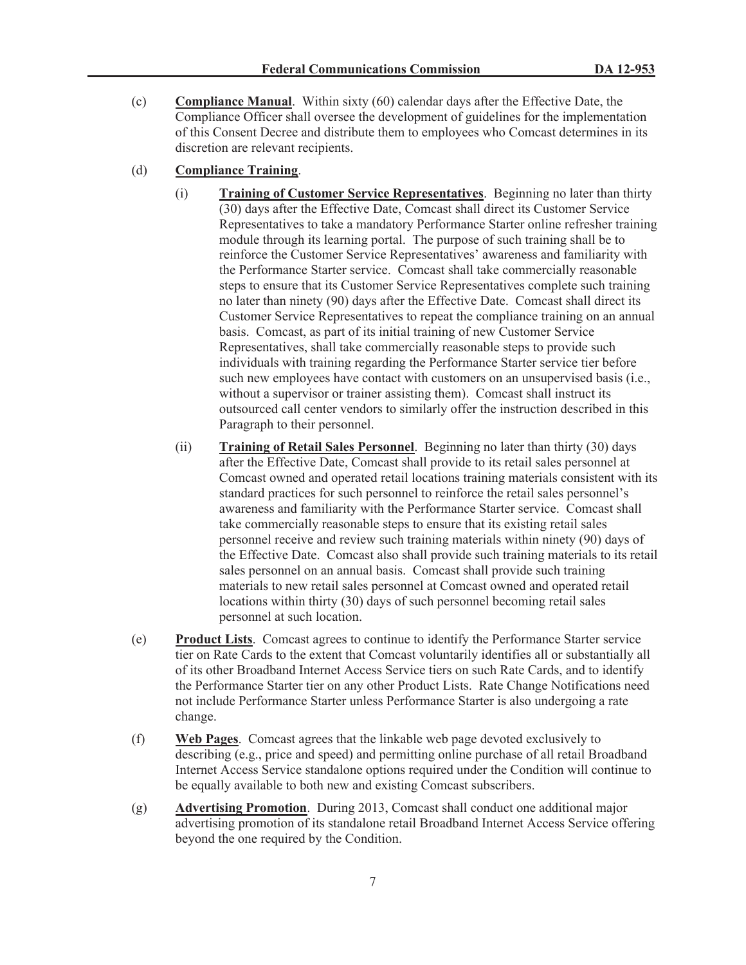(c) **Compliance Manual**. Within sixty (60) calendar days after the Effective Date, the Compliance Officer shall oversee the development of guidelines for the implementation of this Consent Decree and distribute them to employees who Comcast determines in its discretion are relevant recipients.

## (d) **Compliance Training**.

- (i) **Training of Customer Service Representatives**. Beginning no later than thirty (30) days after the Effective Date, Comcast shall direct its Customer Service Representatives to take a mandatory Performance Starter online refresher training module through its learning portal. The purpose of such training shall be to reinforce the Customer Service Representatives' awareness and familiarity with the Performance Starter service. Comcast shall take commercially reasonable steps to ensure that its Customer Service Representatives complete such training no later than ninety (90) days after the Effective Date. Comcast shall direct its Customer Service Representatives to repeat the compliance training on an annual basis. Comcast, as part of its initial training of new Customer Service Representatives, shall take commercially reasonable steps to provide such individuals with training regarding the Performance Starter service tier before such new employees have contact with customers on an unsupervised basis (i.e., without a supervisor or trainer assisting them). Comcast shall instruct its outsourced call center vendors to similarly offer the instruction described in this Paragraph to their personnel.
- (ii) **Training of Retail Sales Personnel**. Beginning no later than thirty (30) days after the Effective Date, Comcast shall provide to its retail sales personnel at Comcast owned and operated retail locations training materials consistent with its standard practices for such personnel to reinforce the retail sales personnel's awareness and familiarity with the Performance Starter service. Comcast shall take commercially reasonable steps to ensure that its existing retail sales personnel receive and review such training materials within ninety (90) days of the Effective Date. Comcast also shall provide such training materials to its retail sales personnel on an annual basis. Comcast shall provide such training materials to new retail sales personnel at Comcast owned and operated retail locations within thirty (30) days of such personnel becoming retail sales personnel at such location.
- (e) **Product Lists**. Comcast agrees to continue to identify the Performance Starter service tier on Rate Cards to the extent that Comcast voluntarily identifies all or substantially all of its other Broadband Internet Access Service tiers on such Rate Cards, and to identify the Performance Starter tier on any other Product Lists. Rate Change Notifications need not include Performance Starter unless Performance Starter is also undergoing a rate change.
- (f) **Web Pages**. Comcast agrees that the linkable web page devoted exclusively to describing (e.g., price and speed) and permitting online purchase of all retail Broadband Internet Access Service standalone options required under the Condition will continue to be equally available to both new and existing Comcast subscribers.
- (g) **Advertising Promotion**. During 2013, Comcast shall conduct one additional major advertising promotion of its standalone retail Broadband Internet Access Service offering beyond the one required by the Condition.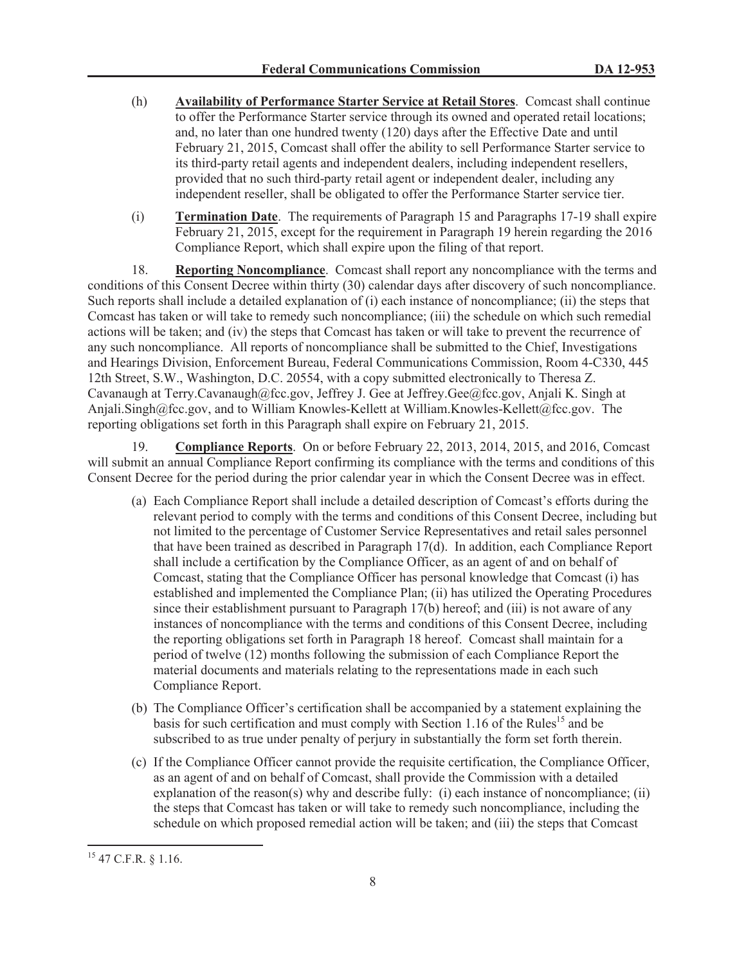- (h) **Availability of Performance Starter Service at Retail Stores**. Comcast shall continue to offer the Performance Starter service through its owned and operated retail locations; and, no later than one hundred twenty (120) days after the Effective Date and until February 21, 2015, Comcast shall offer the ability to sell Performance Starter service to its third-party retail agents and independent dealers, including independent resellers, provided that no such third-party retail agent or independent dealer, including any independent reseller, shall be obligated to offer the Performance Starter service tier.
- (i) **Termination Date**. The requirements of Paragraph 15 and Paragraphs 17-19 shall expire February 21, 2015, except for the requirement in Paragraph 19 herein regarding the 2016 Compliance Report, which shall expire upon the filing of that report.

18. **Reporting Noncompliance**. Comcast shall report any noncompliance with the terms and conditions of this Consent Decree within thirty (30) calendar days after discovery of such noncompliance. Such reports shall include a detailed explanation of (i) each instance of noncompliance; (ii) the steps that Comcast has taken or will take to remedy such noncompliance; (iii) the schedule on which such remedial actions will be taken; and (iv) the steps that Comcast has taken or will take to prevent the recurrence of any such noncompliance. All reports of noncompliance shall be submitted to the Chief, Investigations and Hearings Division, Enforcement Bureau, Federal Communications Commission, Room 4-C330, 445 12th Street, S.W., Washington, D.C. 20554, with a copy submitted electronically to Theresa Z. Cavanaugh at Terry.Cavanaugh@fcc.gov, Jeffrey J. Gee at Jeffrey.Gee@fcc.gov, Anjali K. Singh at Anjali.Singh@fcc.gov, and to William Knowles-Kellett at William.Knowles-Kellett@fcc.gov. The reporting obligations set forth in this Paragraph shall expire on February 21, 2015.

19. **Compliance Reports**. On or before February 22, 2013, 2014, 2015, and 2016, Comcast will submit an annual Compliance Report confirming its compliance with the terms and conditions of this Consent Decree for the period during the prior calendar year in which the Consent Decree was in effect.

- (a) Each Compliance Report shall include a detailed description of Comcast's efforts during the relevant period to comply with the terms and conditions of this Consent Decree, including but not limited to the percentage of Customer Service Representatives and retail sales personnel that have been trained as described in Paragraph 17(d). In addition, each Compliance Report shall include a certification by the Compliance Officer, as an agent of and on behalf of Comcast, stating that the Compliance Officer has personal knowledge that Comcast (i) has established and implemented the Compliance Plan; (ii) has utilized the Operating Procedures since their establishment pursuant to Paragraph 17(b) hereof; and (iii) is not aware of any instances of noncompliance with the terms and conditions of this Consent Decree, including the reporting obligations set forth in Paragraph 18 hereof. Comcast shall maintain for a period of twelve (12) months following the submission of each Compliance Report the material documents and materials relating to the representations made in each such Compliance Report.
- (b) The Compliance Officer's certification shall be accompanied by a statement explaining the basis for such certification and must comply with Section 1.16 of the Rules<sup>15</sup> and be subscribed to as true under penalty of perjury in substantially the form set forth therein.
- (c) If the Compliance Officer cannot provide the requisite certification, the Compliance Officer, as an agent of and on behalf of Comcast, shall provide the Commission with a detailed explanation of the reason(s) why and describe fully: (i) each instance of noncompliance; (ii) the steps that Comcast has taken or will take to remedy such noncompliance, including the schedule on which proposed remedial action will be taken; and (iii) the steps that Comcast

<sup>15</sup> 47 C.F.R. § 1.16.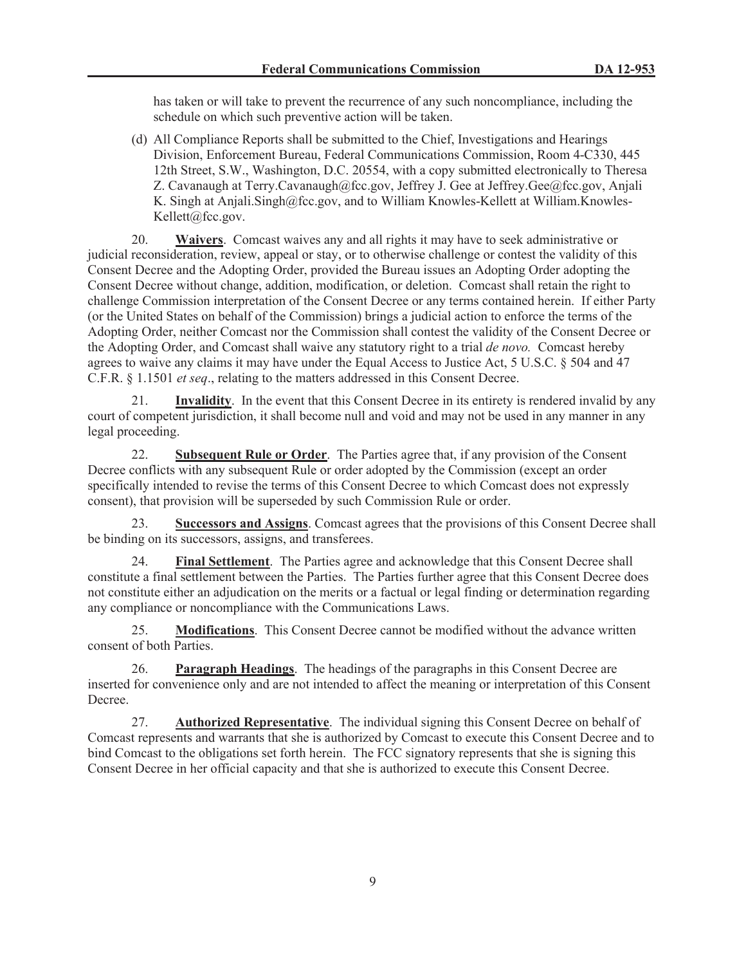has taken or will take to prevent the recurrence of any such noncompliance, including the schedule on which such preventive action will be taken.

(d) All Compliance Reports shall be submitted to the Chief, Investigations and Hearings Division, Enforcement Bureau, Federal Communications Commission, Room 4-C330, 445 12th Street, S.W., Washington, D.C. 20554, with a copy submitted electronically to Theresa Z. Cavanaugh at Terry.Cavanaugh@fcc.gov, Jeffrey J. Gee at Jeffrey.Gee@fcc.gov, Anjali K. Singh at Anjali.Singh@fcc.gov, and to William Knowles-Kellett at William.Knowles-Kellett@fcc.gov.

20. **Waivers**. Comcast waives any and all rights it may have to seek administrative or judicial reconsideration, review, appeal or stay, or to otherwise challenge or contest the validity of this Consent Decree and the Adopting Order, provided the Bureau issues an Adopting Order adopting the Consent Decree without change, addition, modification, or deletion. Comcast shall retain the right to challenge Commission interpretation of the Consent Decree or any terms contained herein. If either Party (or the United States on behalf of the Commission) brings a judicial action to enforce the terms of the Adopting Order, neither Comcast nor the Commission shall contest the validity of the Consent Decree or the Adopting Order, and Comcast shall waive any statutory right to a trial *de novo.* Comcast hereby agrees to waive any claims it may have under the Equal Access to Justice Act, 5 U.S.C. § 504 and 47 C.F.R. § 1.1501 *et seq*., relating to the matters addressed in this Consent Decree.

21. **Invalidity**. In the event that this Consent Decree in its entirety is rendered invalid by any court of competent jurisdiction, it shall become null and void and may not be used in any manner in any legal proceeding.

22. **Subsequent Rule or Order**. The Parties agree that, if any provision of the Consent Decree conflicts with any subsequent Rule or order adopted by the Commission (except an order specifically intended to revise the terms of this Consent Decree to which Comcast does not expressly consent), that provision will be superseded by such Commission Rule or order.

23. **Successors and Assigns**. Comcast agrees that the provisions of this Consent Decree shall be binding on its successors, assigns, and transferees.

24. **Final Settlement**. The Parties agree and acknowledge that this Consent Decree shall constitute a final settlement between the Parties. The Parties further agree that this Consent Decree does not constitute either an adjudication on the merits or a factual or legal finding or determination regarding any compliance or noncompliance with the Communications Laws.

25. **Modifications**. This Consent Decree cannot be modified without the advance written consent of both Parties.

26. **Paragraph Headings**. The headings of the paragraphs in this Consent Decree are inserted for convenience only and are not intended to affect the meaning or interpretation of this Consent Decree.

27. **Authorized Representative**. The individual signing this Consent Decree on behalf of Comcast represents and warrants that she is authorized by Comcast to execute this Consent Decree and to bind Comcast to the obligations set forth herein. The FCC signatory represents that she is signing this Consent Decree in her official capacity and that she is authorized to execute this Consent Decree.